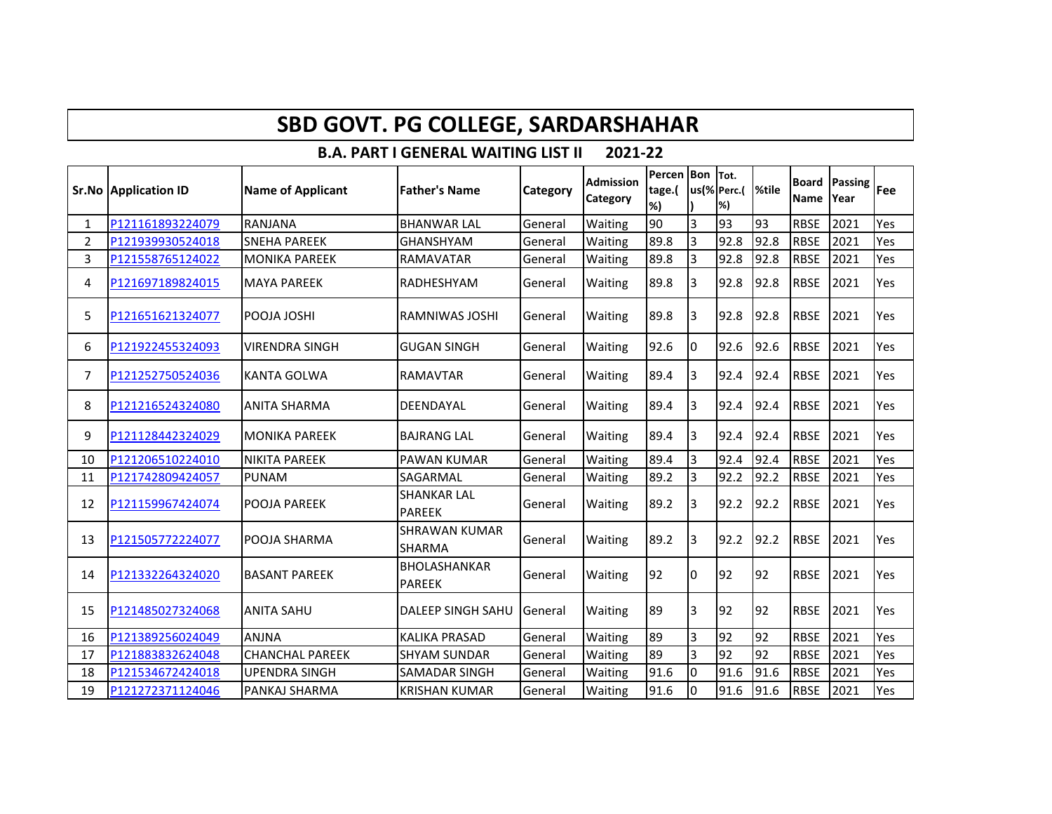| <b>SBD GOVT. PG COLLEGE, SARDARSHAHAR</b>             |                             |                          |                                       |          |                              |                                |                |                   |                  |                      |                        |     |
|-------------------------------------------------------|-----------------------------|--------------------------|---------------------------------------|----------|------------------------------|--------------------------------|----------------|-------------------|------------------|----------------------|------------------------|-----|
| 2021-22<br><b>B.A. PART I GENERAL WAITING LIST II</b> |                             |                          |                                       |          |                              |                                |                |                   |                  |                      |                        |     |
|                                                       | <b>Sr.No Application ID</b> | <b>Name of Applicant</b> | <b>Father's Name</b>                  | Category | <b>Admission</b><br>Category | Percen Bon Tot.<br>tage.(<br>% |                | us(% Perc.(<br>%) | <sup>%tile</sup> | <b>Board</b><br>Name | <b>Passing</b><br>Year | Fee |
| 1                                                     | P121161893224079            | RANJANA                  | <b>BHANWAR LAL</b>                    | General  | Waiting                      | 90                             | 3              | 93                | 93               | <b>RBSE</b>          | 2021                   | Yes |
| $\overline{2}$                                        | P121939930524018            | <b>SNEHA PAREEK</b>      | <b>GHANSHYAM</b>                      | General  | Waiting                      | 89.8                           | $\overline{3}$ | 92.8              | 92.8             | <b>RBSE</b>          | 2021                   | Yes |
| 3                                                     | P121558765124022            | <b>MONIKA PAREEK</b>     | <b>RAMAVATAR</b>                      | General  | Waiting                      | 89.8                           | $\overline{3}$ | 92.8              | 92.8             | <b>RBSE</b>          | 2021                   | Yes |
| 4                                                     | P121697189824015            | <b>MAYA PAREEK</b>       | RADHESHYAM                            | General  | Waiting                      | 89.8                           | l3             | 92.8              | 92.8             | <b>RBSE</b>          | 2021                   | Yes |
| 5                                                     | P121651621324077            | <b>POOJA JOSHI</b>       | RAMNIWAS JOSHI                        | General  | Waiting                      | 89.8                           | 3              | 92.8              | 92.8             | <b>RBSE</b>          | 2021                   | Yes |
| 6                                                     | P121922455324093            | <b>VIRENDRA SINGH</b>    | <b>GUGAN SINGH</b>                    | General  | Waiting                      | 92.6                           | Iо             | 92.6              | 92.6             | <b>RBSE</b>          | 2021                   | Yes |
| 7                                                     | P121252750524036            | <b>KANTA GOLWA</b>       | <b>RAMAVTAR</b>                       | General  | Waiting                      | 89.4                           | Iз             | 92.4              | 92.4             | <b>RBSE</b>          | 2021                   | Yes |
| 8                                                     | P121216524324080            | <b>ANITA SHARMA</b>      | DEENDAYAL                             | General  | Waiting                      | 89.4                           | 3              | 92.4              | 92.4             | <b>RBSE</b>          | 2021                   | Yes |
| 9                                                     | P121128442324029            | <b>MONIKA PAREEK</b>     | <b>BAJRANG LAL</b>                    | General  | Waiting                      | 89.4                           | 3              | 92.4              | 92.4             | <b>RBSE</b>          | 2021                   | Yes |
| 10                                                    | P121206510224010            | <b>NIKITA PAREEK</b>     | <b>PAWAN KUMAR</b>                    | General  | Waiting                      | 89.4                           | $\overline{3}$ | 92.4              | 92.4             | <b>RBSE</b>          | 2021                   | Yes |
| 11                                                    | P121742809424057            | <b>PUNAM</b>             | SAGARMAL                              | General  | Waiting                      | 89.2                           | 3              | 92.2              | 92.2             | <b>RBSE</b>          | 2021                   | Yes |
| 12                                                    | P121159967424074            | POOJA PAREEK             | <b>SHANKAR LAL</b><br><b>PAREEK</b>   | General  | Waiting                      | 89.2                           | l3             | 92.2              | 92.2             | <b>RBSE</b>          | 2021                   | Yes |
| 13                                                    | P121505772224077            | POOJA SHARMA             | <b>SHRAWAN KUMAR</b><br><b>SHARMA</b> | General  | Waiting                      | 89.2                           | l3             | 92.2              | 92.2             | <b>RBSE</b>          | 2021                   | Yes |
| 14                                                    | P121332264324020            | <b>BASANT PAREEK</b>     | <b>BHOLASHANKAR</b><br><b>PAREEK</b>  | General  | Waiting                      | 92                             | l0             | 92                | 92               | <b>RBSE</b>          | 2021                   | Yes |
| 15                                                    | P121485027324068            | <b>ANITA SAHU</b>        | <b>DALEEP SINGH SAHU</b>              | General  | Waiting                      | 89                             | 3              | 92                | 92               | <b>RBSE</b>          | 2021                   | Yes |
| 16                                                    | P121389256024049            | <b>ANJNA</b>             | <b>KALIKA PRASAD</b>                  | General  | Waiting                      | 89                             | 3              | 92                | 92               | <b>RBSE</b>          | 2021                   | Yes |
| 17                                                    | P121883832624048            | <b>CHANCHAL PAREEK</b>   | <b>SHYAM SUNDAR</b>                   | General  | Waiting                      | 89                             | 3              | 92                | 92               | <b>RBSE</b>          | 2021                   | Yes |
| 18                                                    | P121534672424018            | <b>UPENDRA SINGH</b>     | SAMADAR SINGH                         | General  | Waiting                      | 91.6                           | l0             | 91.6              | 91.6             | <b>RBSE</b>          | 2021                   | Yes |
| 19                                                    | P121272371124046            | PANKAJ SHARMA            | <b>KRISHAN KUMAR</b>                  | General  | Waiting                      | 91.6                           | Iо             | 91.6              | 91.6             | <b>RBSE</b>          | 2021                   | Yes |

 $\mathbf{I}$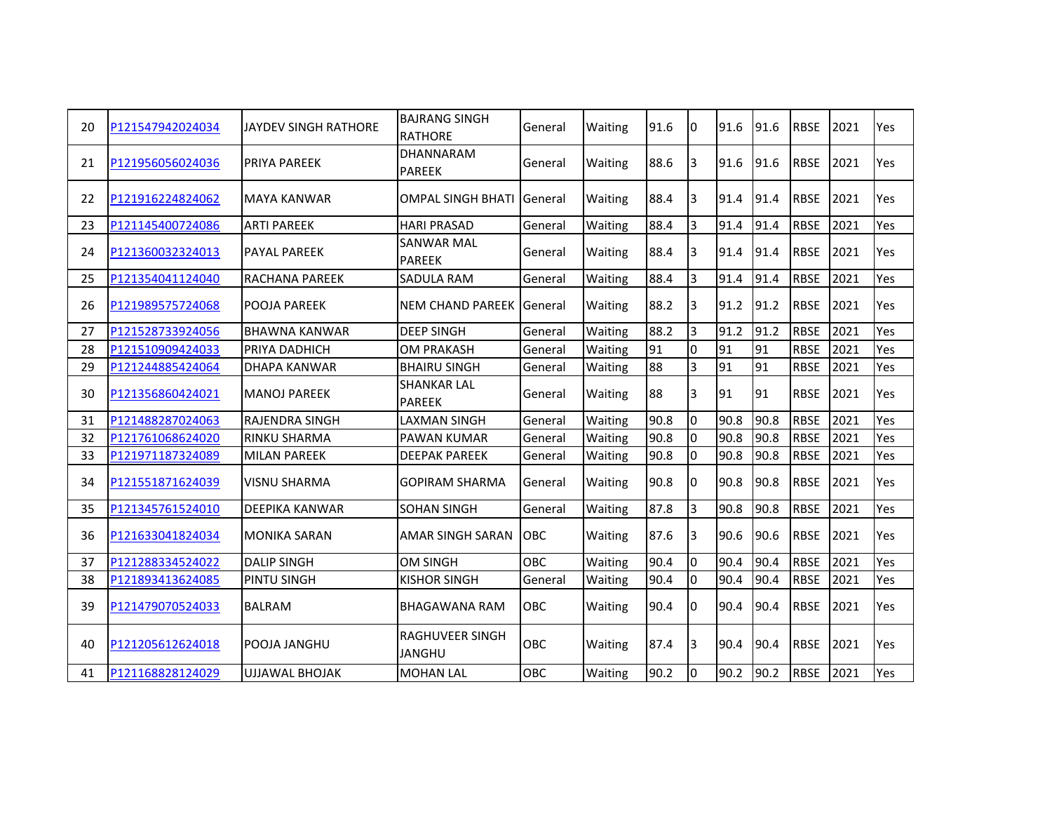| 20 | P121547942024034 | JAYDEV SINGH RATHORE  | <b>BAJRANG SINGH</b><br><b>RATHORE</b>  | General    | Waiting | 91.6 | I0             | 91.6 | 91.6 | <b>RBSE</b> | 2021 | Yes        |
|----|------------------|-----------------------|-----------------------------------------|------------|---------|------|----------------|------|------|-------------|------|------------|
| 21 | P121956056024036 | <b>PRIYA PAREEK</b>   | <b>DHANNARAM</b><br><b>PAREEK</b>       | General    | Waiting | 88.6 | 3              | 91.6 | 91.6 | <b>RBSE</b> | 2021 | Yes        |
| 22 | P121916224824062 | MAYA KANWAR           | <b>OMPAL SINGH BHATI IGeneral</b>       |            | Waiting | 88.4 | I3             | 91.4 | 91.4 | <b>RBSE</b> | 2021 | <b>Yes</b> |
| 23 | P121145400724086 | <b>ARTI PAREEK</b>    | <b>HARI PRASAD</b>                      | General    | Waiting | 88.4 | 3              | 91.4 | 91.4 | <b>RBSE</b> | 2021 | Yes        |
| 24 | P121360032324013 | <b>PAYAL PAREEK</b>   | <b>SANWAR MAL</b><br><b>PAREEK</b>      | General    | Waiting | 88.4 | I3             | 91.4 | 91.4 | <b>RBSE</b> | 2021 | <b>Yes</b> |
| 25 | P121354041124040 | RACHANA PAREEK        | SADULA RAM                              | General    | Waiting | 88.4 | 3              | 91.4 | 91.4 | <b>RBSE</b> | 2021 | Yes        |
| 26 | P121989575724068 | POOJA PAREEK          | NEM CHAND PAREEK General                |            | Waiting | 88.2 | l3             | 91.2 | 91.2 | <b>RBSE</b> | 2021 | Yes        |
| 27 | P121528733924056 | <b>BHAWNA KANWAR</b>  | <b>DEEP SINGH</b>                       | General    | Waiting | 88.2 | 3              | 91.2 | 91.2 | <b>RBSE</b> | 2021 | Yes        |
| 28 | P121510909424033 | PRIYA DADHICH         | <b>OM PRAKASH</b>                       | General    | Waiting | 91   | 0              | 91   | 91   | <b>RBSE</b> | 2021 | Yes        |
| 29 | P121244885424064 | <b>DHAPA KANWAR</b>   | <b>BHAIRU SINGH</b>                     | General    | Waiting | 88   | $\overline{3}$ | 91   | 91   | <b>RBSE</b> | 2021 | Yes        |
| 30 | P121356860424021 | <b>MANOJ PAREEK</b>   | <b>SHANKAR LAL</b><br><b>PAREEK</b>     | General    | Waiting | 88   | lЗ             | 91   | 91   | <b>RBSE</b> | 2021 | Yes        |
| 31 | P121488287024063 | <b>RAJENDRA SINGH</b> | <b>LAXMAN SINGH</b>                     | General    | Waiting | 90.8 | l0             | 90.8 | 90.8 | <b>RBSE</b> | 2021 | Yes        |
| 32 | P121761068624020 | <b>RINKU SHARMA</b>   | <b>PAWAN KUMAR</b>                      | General    | Waiting | 90.8 | l0             | 90.8 | 90.8 | <b>RBSE</b> | 2021 | Yes        |
| 33 | P121971187324089 | <b>MILAN PAREEK</b>   | <b>DEEPAK PAREEK</b>                    | General    | Waiting | 90.8 | I0             | 90.8 | 90.8 | <b>RBSE</b> | 2021 | Yes        |
| 34 | P121551871624039 | <b>VISNU SHARMA</b>   | <b>GOPIRAM SHARMA</b>                   | General    | Waiting | 90.8 | 10             | 90.8 | 90.8 | <b>RBSE</b> | 2021 | Yes        |
| 35 | P121345761524010 | <b>DEEPIKA KANWAR</b> | <b>SOHAN SINGH</b>                      | General    | Waiting | 87.8 | Iз             | 90.8 | 90.8 | <b>RBSE</b> | 2021 | Yes        |
| 36 | P121633041824034 | <b>MONIKA SARAN</b>   | <b>AMAR SINGH SARAN</b>                 | OBC        | Waiting | 87.6 | l3             | 90.6 | 90.6 | <b>RBSE</b> | 2021 | Yes        |
| 37 | P121288334524022 | <b>DALIP SINGH</b>    | <b>OM SINGH</b>                         | OBC        | Waiting | 90.4 | l0             | 90.4 | 90.4 | <b>RBSE</b> | 2021 | Yes        |
| 38 | P121893413624085 | <b>PINTU SINGH</b>    | <b>KISHOR SINGH</b>                     | General    | Waiting | 90.4 | I٥             | 90.4 | 90.4 | <b>RBSE</b> | 2021 | Yes        |
| 39 | P121479070524033 | <b>BALRAM</b>         | <b>BHAGAWANA RAM</b>                    | <b>OBC</b> | Waiting | 90.4 | I0             | 90.4 | 90.4 | <b>RBSE</b> | 2021 | <b>Yes</b> |
| 40 | P121205612624018 | <b>POOJA JANGHU</b>   | <b>RAGHUVEER SINGH</b><br><b>JANGHU</b> | <b>OBC</b> | Waiting | 87.4 | I3             | 90.4 | 90.4 | <b>RBSE</b> | 2021 | Yes        |
| 41 | P121168828124029 | <b>UJJAWAL BHOJAK</b> | <b>MOHAN LAL</b>                        | OBC        | Waiting | 90.2 | l0             | 90.2 | 90.2 | <b>RBSE</b> | 2021 | Yes        |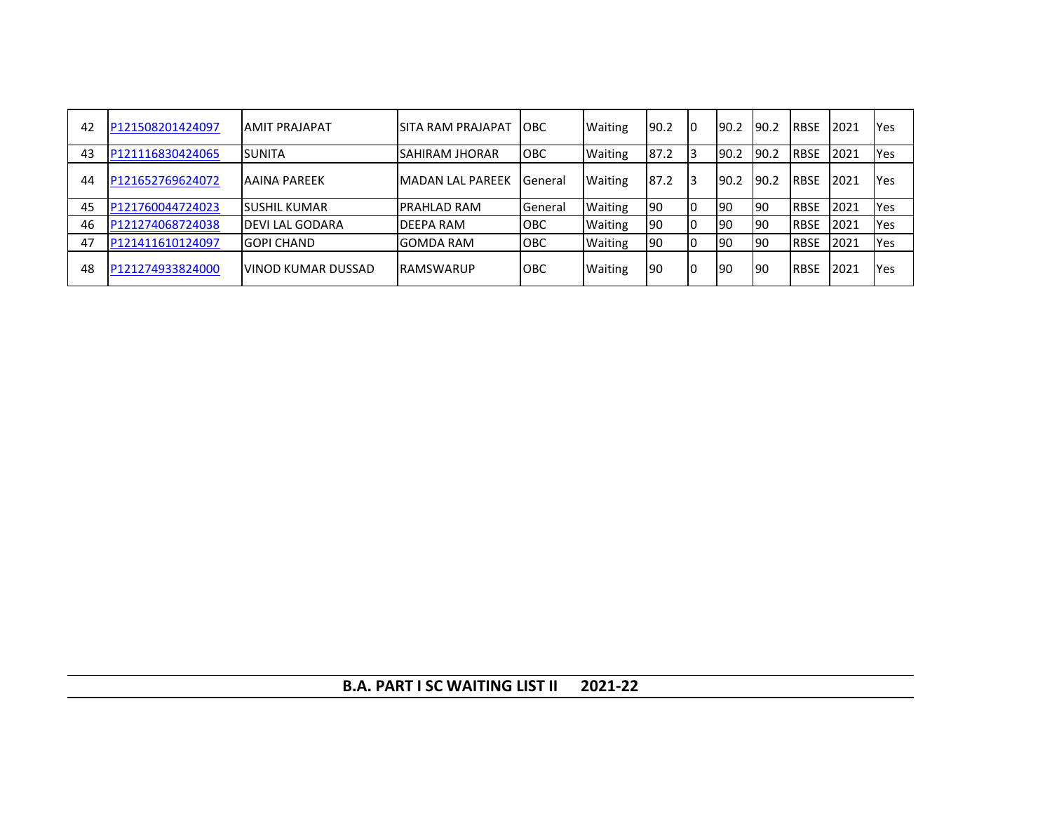| 42 | P121508201424097 | <b>AMIT PRAJAPAT</b>  | ISITA RAM PRAJAPAT       | <b>IOBC</b>    | <b>Waiting</b> | 90.2 | Iо | 190.2 | 90.2 | <b>RBSE</b> | 2021 | Yes        |
|----|------------------|-----------------------|--------------------------|----------------|----------------|------|----|-------|------|-------------|------|------------|
| 43 | P121116830424065 | <b>SUNITA</b>         | <b>SAHIRAM JHORAR</b>    | <b>OBC</b>     | <b>Waiting</b> | 87.2 | 13 | 90.2  | 90.2 | <b>RBSE</b> | 2021 | Yes        |
| 44 | P121652769624072 | <b>JAAINA PAREEK</b>  | <b>IMADAN LAL PAREEK</b> | <b>General</b> | <b>Waiting</b> | 87.2 | 13 | 90.2  | 90.2 | <b>RBSE</b> | 2021 | <b>Yes</b> |
| 45 | P121760044724023 | <b>SUSHIL KUMAR</b>   | <b>PRAHLAD RAM</b>       | General        | <b>Waiting</b> | 90   | I٥ | 90    | 190  | <b>RBSE</b> | 2021 | Yes        |
| 46 | P121274068724038 | <b>DEVILAL GODARA</b> | <b>DEEPA RAM</b>         | <b>OBC</b>     | <b>Waiting</b> | 90   | I٥ | 90    | l90  | <b>RBSE</b> | 2021 | Yes        |
| 47 | P121411610124097 | <b>GOPI CHAND</b>     | <b>GOMDA RAM</b>         | <b>OBC</b>     | <b>Waiting</b> | 190  |    | 90    | 90   | <b>RBSE</b> | 2021 | Yes        |
| 48 | P121274933824000 | IVINOD KUMAR DUSSAD   | <b>RAMSWARUP</b>         | ІОВС           | Waiting        | 190  | I٥ | 190   | 90   | <b>RBSE</b> | 2021 | Yes        |

**B.A. PART I SC WAITING LIST II 2021-22**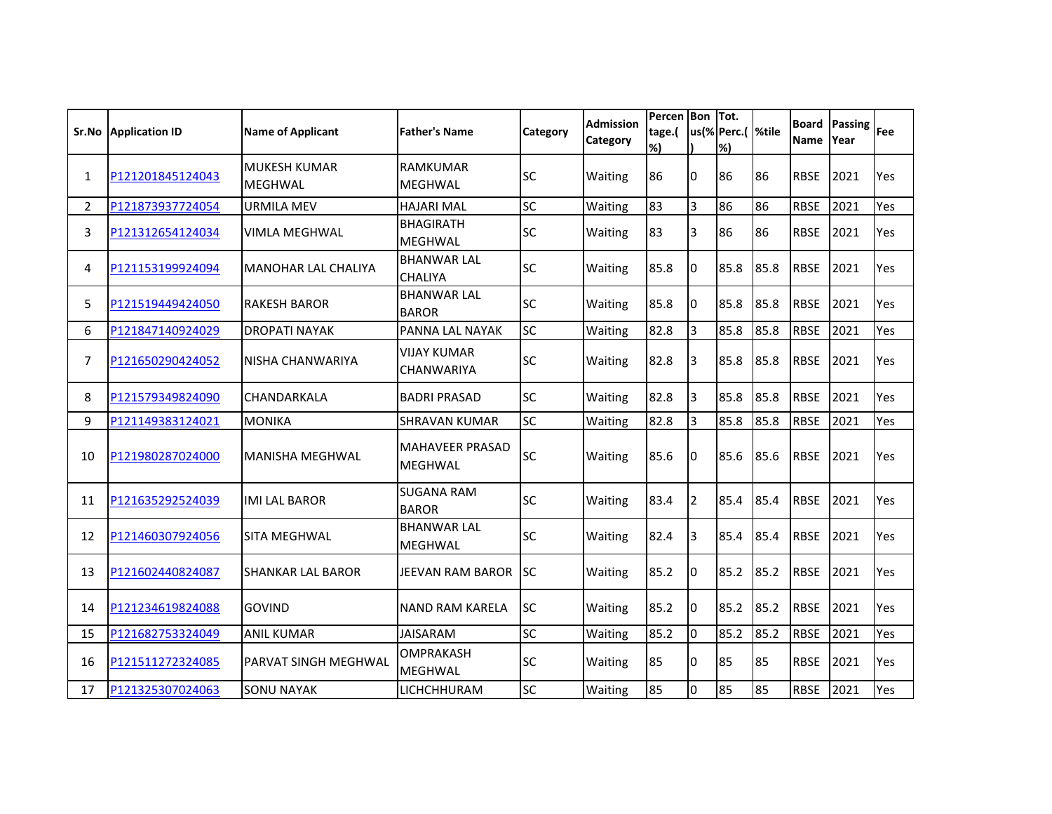| Sr.No          | <b>Application ID</b> | <b>Name of Applicant</b>              | <b>Father's Name</b>                     | Category  | <b>Admission</b><br>Category | Percen Bon Tot.<br>tage.(<br>% |                | us(% Perc.(  %tile<br>%) |      | <b>Board</b><br><b>Name</b> | <b>Passing</b><br>Year | Fee |
|----------------|-----------------------|---------------------------------------|------------------------------------------|-----------|------------------------------|--------------------------------|----------------|--------------------------|------|-----------------------------|------------------------|-----|
| $\mathbf{1}$   | P121201845124043      | <b>MUKESH KUMAR</b><br><b>MEGHWAL</b> | <b>RAMKUMAR</b><br><b>MEGHWAL</b>        | SC        | Waiting                      | 86                             | I0             | 86                       | 86   | <b>RBSE</b>                 | 2021                   | Yes |
| $\overline{2}$ | P121873937724054      | <b>URMILA MEV</b>                     | <b>HAJARI MAL</b>                        | SC        | Waiting                      | 83                             | $\overline{3}$ | 86                       | 86   | <b>RBSE</b>                 | 2021                   | Yes |
| 3              | P121312654124034      | <b>VIMLA MEGHWAL</b>                  | <b>BHAGIRATH</b><br><b>MEGHWAL</b>       | SC        | Waiting                      | 83                             | 3              | 86                       | 86   | <b>RBSE</b>                 | 2021                   | Yes |
| 4              | P121153199924094      | <b>MANOHAR LAL CHALIYA</b>            | <b>BHANWAR LAL</b><br><b>CHALIYA</b>     | SC        | Waiting                      | 85.8                           | I0             | 85.8                     | 85.8 | <b>RBSE</b>                 | 2021                   | Yes |
| 5.             | P121519449424050      | <b>RAKESH BAROR</b>                   | <b>BHANWAR LAL</b><br><b>BAROR</b>       | <b>SC</b> | Waiting                      | 85.8                           | 10             | 85.8                     | 85.8 | <b>RBSE</b>                 | 2021                   | Yes |
| 6              | P121847140924029      | <b>DROPATI NAYAK</b>                  | PANNA LAL NAYAK                          | SC        | Waiting                      | 82.8                           | $\overline{3}$ | 85.8                     | 85.8 | <b>RBSE</b>                 | 2021                   | Yes |
| $\overline{7}$ | P121650290424052      | NISHA CHANWARIYA                      | <b>VIJAY KUMAR</b><br>CHANWARIYA         | SC        | Waiting                      | 82.8                           | 3              | 85.8                     | 85.8 | <b>RBSE</b>                 | 2021                   | Yes |
| 8              | P121579349824090      | CHANDARKALA                           | <b>BADRI PRASAD</b>                      | SC        | Waiting                      | 82.8                           | l3             | 85.8                     | 85.8 | <b>RBSE</b>                 | 2021                   | Yes |
| 9              | P121149383124021      | <b>MONIKA</b>                         | <b>SHRAVAN KUMAR</b>                     | SC        | Waiting                      | 82.8                           | $\overline{3}$ | 85.8                     | 85.8 | <b>RBSE</b>                 | 2021                   | Yes |
| 10             | P121980287024000      | <b>MANISHA MEGHWAL</b>                | <b>MAHAVEER PRASAD</b><br><b>MEGHWAL</b> | <b>SC</b> | Waiting                      | 85.6                           | I0             | 85.6                     | 85.6 | <b>RBSE</b>                 | 2021                   | Yes |
| 11             | P121635292524039      | <b>IMI LAL BAROR</b>                  | <b>SUGANA RAM</b><br><b>BAROR</b>        | <b>SC</b> | Waiting                      | 83.4                           | 2              | 85.4                     | 85.4 | <b>RBSE</b>                 | 2021                   | Yes |
| 12             | P121460307924056      | <b>SITA MEGHWAL</b>                   | <b>BHANWAR LAL</b><br><b>MEGHWAL</b>     | SC        | Waiting                      | 82.4                           | 3              | 85.4                     | 85.4 | <b>RBSE</b>                 | 2021                   | Yes |
| 13             | P121602440824087      | <b>SHANKAR LAL BAROR</b>              | JEEVAN RAM BAROR                         | SC        | Waiting                      | 85.2                           | I0             | 85.2                     | 85.2 | <b>RBSE</b>                 | 2021                   | Yes |
| 14             | P121234619824088      | <b>GOVIND</b>                         | <b>NAND RAM KARELA</b>                   | <b>SC</b> | Waiting                      | 85.2                           | I0             | 85.2                     | 85.2 | <b>RBSE</b>                 | 2021                   | Yes |
| 15             | P121682753324049      | <b>ANIL KUMAR</b>                     | <b>JAISARAM</b>                          | SC        | Waiting                      | 85.2                           | l0             | 85.2                     | 85.2 | <b>RBSE</b>                 | 2021                   | Yes |
| 16             | P121511272324085      | <b>PARVAT SINGH MEGHWAL</b>           | <b>OMPRAKASH</b><br><b>MEGHWAL</b>       | SC        | Waiting                      | 85                             | 10             | 85                       | 85   | <b>RBSE</b>                 | 2021                   | Yes |
| 17             | P121325307024063      | <b>SONU NAYAK</b>                     | LICHCHHURAM                              | SC        | Waiting                      | 85                             | Iо             | 85                       | 85   | <b>RBSE</b>                 | 2021                   | Yes |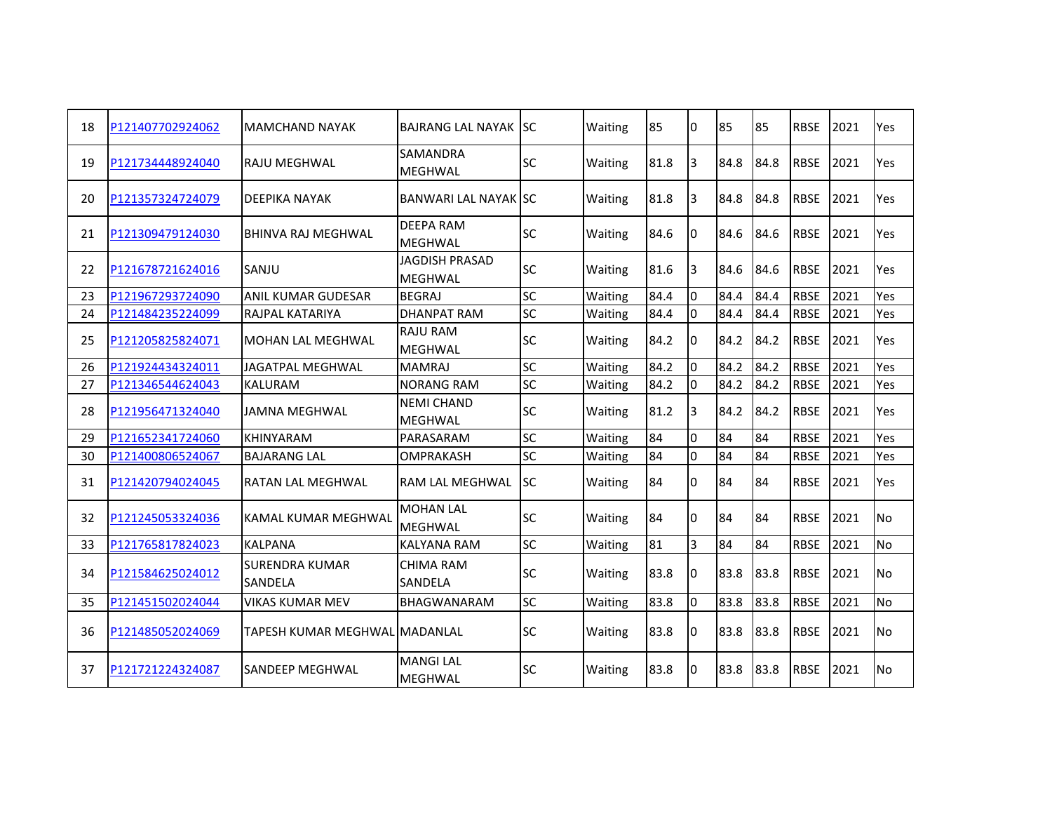| 18 | P121407702924062 | <b>MAMCHAND NAYAK</b>            | <b>BAJRANG LAL NAYAK ISC</b>            |           | Waiting | 85   | l0             | 85   | 85   | <b>RBSE</b> | 2021 | Yes        |
|----|------------------|----------------------------------|-----------------------------------------|-----------|---------|------|----------------|------|------|-------------|------|------------|
| 19 | P121734448924040 | RAJU MEGHWAL                     | <b>SAMANDRA</b><br><b>MEGHWAL</b>       | <b>SC</b> | Waiting | 81.8 | 3              | 84.8 | 84.8 | <b>RBSE</b> | 2021 | Yes        |
| 20 | P121357324724079 | DEEPIKA NAYAK                    | <b>BANWARI LAL NAYAK ISC</b>            |           | Waiting | 81.8 | 3              | 84.8 | 84.8 | <b>RBSE</b> | 2021 | Yes        |
| 21 | P121309479124030 | <b>BHINVA RAJ MEGHWAL</b>        | <b>DEEPA RAM</b><br><b>MEGHWAL</b>      | <b>SC</b> | Waiting | 84.6 | l0             | 84.6 | 84.6 | <b>RBSE</b> | 2021 | <b>Yes</b> |
| 22 | P121678721624016 | SANJU                            | <b>JAGDISH PRASAD</b><br><b>MEGHWAL</b> | <b>SC</b> | Waiting | 81.6 | 3              | 84.6 | 84.6 | <b>RBSE</b> | 2021 | Yes        |
| 23 | P121967293724090 | <b>ANIL KUMAR GUDESAR</b>        | <b>BEGRAJ</b>                           | SC        | Waiting | 84.4 | $\Omega$       | 84.4 | 84.4 | <b>RBSE</b> | 2021 | Yes.       |
| 24 | P121484235224099 | RAJPAL KATARIYA                  | <b>DHANPAT RAM</b>                      | <b>SC</b> | Waiting | 84.4 | $\Omega$       | 84.4 | 84.4 | <b>RBSE</b> | 2021 | Yes        |
| 25 | P121205825824071 | <b>MOHAN LAL MEGHWAL</b>         | <b>RAJU RAM</b><br><b>MEGHWAL</b>       | <b>SC</b> | Waiting | 84.2 | I٥             | 84.2 | 84.2 | <b>RBSE</b> | 2021 | Yes        |
| 26 | P121924434324011 | <b>JAGATPAL MEGHWAL</b>          | <b>MAMRAJ</b>                           | <b>SC</b> | Waiting | 84.2 | <sup>0</sup>   | 84.2 | 84.2 | <b>RBSE</b> | 2021 | Yes        |
| 27 | P121346544624043 | <b>KALURAM</b>                   | <b>NORANG RAM</b>                       | <b>SC</b> | Waiting | 84.2 | l0             | 84.2 | 84.2 | <b>RBSE</b> | 2021 | Yes        |
| 28 | P121956471324040 | <b>JAMNA MEGHWAL</b>             | <b>NEMI CHAND</b><br><b>MEGHWAL</b>     | <b>SC</b> | Waiting | 81.2 | 3              | 84.2 | 84.2 | <b>RBSE</b> | 2021 | <b>Yes</b> |
| 29 | P121652341724060 | KHINYARAM                        | PARASARAM                               | <b>SC</b> | Waiting | 84   | 0              | 84   | 84   | <b>RBSE</b> | 2021 | Yes        |
| 30 | P121400806524067 | <b>BAJARANG LAL</b>              | <b>OMPRAKASH</b>                        | <b>SC</b> | Waiting | 84   | lo             | 84   | 84   | <b>RBSE</b> | 2021 | Yes        |
| 31 | P121420794024045 | RATAN LAL MEGHWAL                | <b>RAM LAL MEGHWAL</b>                  | ISC.      | Waiting | 84   | $\Omega$       | 84   | 84   | <b>RBSE</b> | 2021 | Yes        |
| 32 | P121245053324036 | <b>KAMAL KUMAR MEGHWAL</b>       | <b>MOHAN LAL</b><br><b>MEGHWAL</b>      | <b>SC</b> | Waiting | 84   | <sup>0</sup>   | 84   | 84   | <b>RBSE</b> | 2021 | No         |
| 33 | P121765817824023 | <b>KALPANA</b>                   | <b>KALYANA RAM</b>                      | <b>SC</b> | Waiting | 81   | 3              | 84   | 84   | <b>RBSE</b> | 2021 | <b>No</b>  |
| 34 | P121584625024012 | <b>SURENDRA KUMAR</b><br>SANDELA | CHIMA RAM<br><b>SANDELA</b>             | <b>SC</b> | Waiting | 83.8 | 0              | 83.8 | 83.8 | <b>RBSE</b> | 2021 | <b>No</b>  |
| 35 | P121451502024044 | <b>VIKAS KUMAR MEV</b>           | <b>BHAGWANARAM</b>                      | <b>SC</b> | Waiting | 83.8 | l <sub>0</sub> | 83.8 | 83.8 | <b>RBSE</b> | 2021 | No         |
| 36 | P121485052024069 | TAPESH KUMAR MEGHWAL MADANLAL    |                                         | <b>SC</b> | Waiting | 83.8 | I0             | 83.8 | 83.8 | <b>RBSE</b> | 2021 | No         |
| 37 | P121721224324087 | SANDEEP MEGHWAL                  | <b>MANGI LAL</b><br><b>MEGHWAL</b>      | <b>SC</b> | Waiting | 83.8 | 0              | 83.8 | 83.8 | <b>RBSE</b> | 2021 | No         |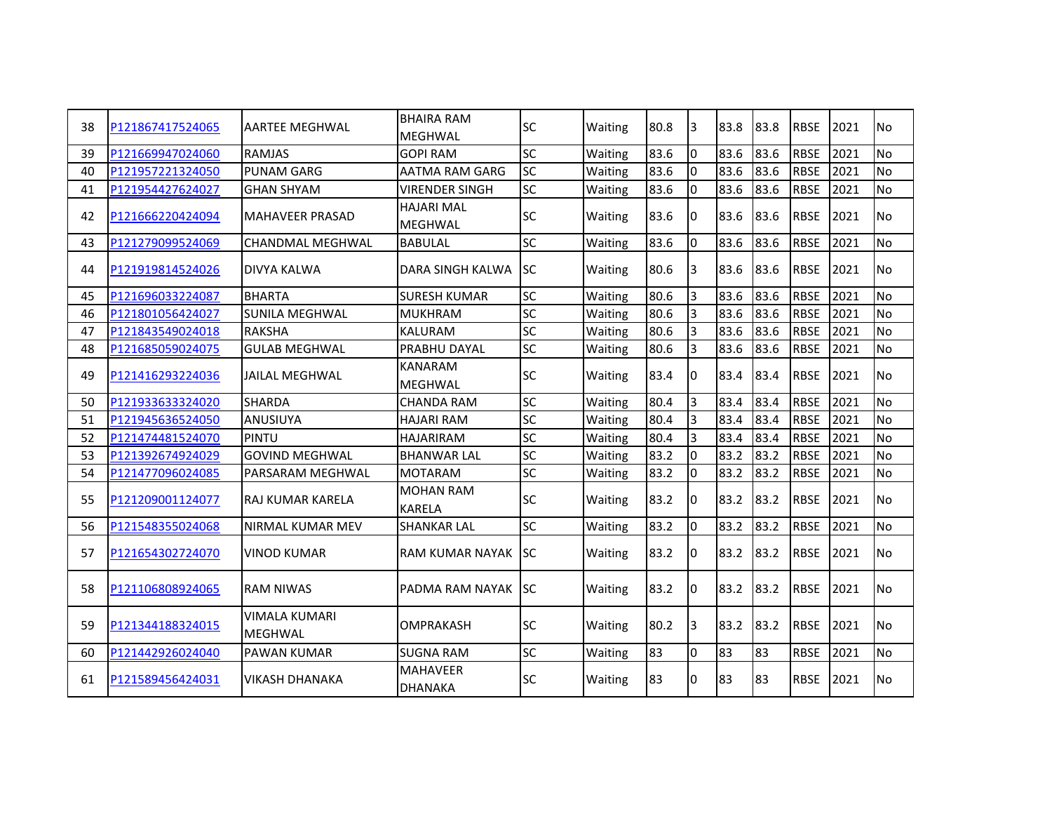| 38 | P121867417524065 | AARTEE MEGHWAL                         | <b>BHAIRA RAM</b><br><b>MEGHWAL</b> | <b>SC</b> | Waiting | 80.8 | l3             | 83.8 | 83.8 | <b>RBSE</b> | 2021 | No.       |
|----|------------------|----------------------------------------|-------------------------------------|-----------|---------|------|----------------|------|------|-------------|------|-----------|
| 39 | P121669947024060 | <b>RAMJAS</b>                          | <b>GOPI RAM</b>                     | <b>SC</b> | Waiting | 83.6 | I٥             | 83.6 | 83.6 | <b>RBSE</b> | 2021 | <b>No</b> |
| 40 | P121957221324050 | <b>PUNAM GARG</b>                      | <b>AATMA RAM GARG</b>               | <b>SC</b> | Waiting | 83.6 | l0             | 83.6 | 83.6 | <b>RBSE</b> | 2021 | <b>No</b> |
| 41 | P121954427624027 | <b>GHAN SHYAM</b>                      | <b>VIRENDER SINGH</b>               | <b>SC</b> | Waiting | 83.6 | I٥             | 83.6 | 83.6 | <b>RBSE</b> | 2021 | <b>No</b> |
| 42 | P121666220424094 | <b>MAHAVEER PRASAD</b>                 | <b>HAJARI MAL</b><br><b>MEGHWAL</b> | <b>SC</b> | Waiting | 83.6 | 10             | 83.6 | 83.6 | <b>RBSE</b> | 2021 | <b>No</b> |
| 43 | P121279099524069 | <b>CHANDMAL MEGHWAL</b>                | <b>BABULAL</b>                      | <b>SC</b> | Waiting | 83.6 | l0             | 83.6 | 83.6 | <b>RBSE</b> | 2021 | No        |
| 44 | P121919814524026 | DIVYA KALWA                            | DARA SINGH KALWA                    | ISC.      | Waiting | 80.6 | 3              | 83.6 | 83.6 | <b>RBSE</b> | 2021 | <b>No</b> |
| 45 | P121696033224087 | <b>BHARTA</b>                          | <b>SURESH KUMAR</b>                 | <b>SC</b> | Waiting | 80.6 | $\overline{3}$ | 83.6 | 83.6 | <b>RBSE</b> | 2021 | No        |
| 46 | P121801056424027 | <b>SUNILA MEGHWAL</b>                  | <b>MUKHRAM</b>                      | SC        | Waiting | 80.6 | $\overline{3}$ | 83.6 | 83.6 | <b>RBSE</b> | 2021 | <b>No</b> |
| 47 | P121843549024018 | <b>RAKSHA</b>                          | <b>KALURAM</b>                      | <b>SC</b> | Waiting | 80.6 | 3              | 83.6 | 83.6 | <b>RBSE</b> | 2021 | <b>No</b> |
| 48 | P121685059024075 | <b>I</b> GULAB MEGHWAL                 | <b>PRABHU DAYAL</b>                 | <b>SC</b> | Waiting | 80.6 | 3              | 83.6 | 83.6 | <b>RBSE</b> | 2021 | <b>No</b> |
| 49 | P121416293224036 | JAILAL MEGHWAL                         | <b>KANARAM</b><br><b>MEGHWAL</b>    | <b>SC</b> | Waiting | 83.4 | I٥             | 83.4 | 83.4 | <b>RBSE</b> | 2021 | No        |
| 50 | P121933633324020 | <b>SHARDA</b>                          | <b>CHANDA RAM</b>                   | <b>SC</b> | Waiting | 80.4 | 3              | 83.4 | 83.4 | <b>RBSE</b> | 2021 | <b>No</b> |
| 51 | P121945636524050 | ANUSIUYA                               | <b>HAJARI RAM</b>                   | <b>SC</b> | Waiting | 80.4 | 3              | 83.4 | 83.4 | <b>RBSE</b> | 2021 | No        |
| 52 | P121474481524070 | <b>PINTU</b>                           | <b>HAJARIRAM</b>                    | <b>SC</b> | Waiting | 80.4 | $\overline{3}$ | 83.4 | 83.4 | <b>RBSE</b> | 2021 | <b>No</b> |
| 53 | P121392674924029 | <b>GOVIND MEGHWAL</b>                  | <b>BHANWAR LAL</b>                  | <b>SC</b> | Waiting | 83.2 | I٥             | 83.2 | 83.2 | <b>RBSE</b> | 2021 | <b>No</b> |
| 54 | P121477096024085 | PARSARAM MEGHWAL                       | <b>MOTARAM</b>                      | <b>SC</b> | Waiting | 83.2 | 10             | 83.2 | 83.2 | <b>RBSE</b> | 2021 | <b>No</b> |
| 55 | P121209001124077 | IRAJ KUMAR KARELA                      | <b>MOHAN RAM</b><br><b>KARELA</b>   | <b>SC</b> | Waiting | 83.2 | 10             | 83.2 | 83.2 | <b>RBSE</b> | 2021 | No.       |
| 56 | P121548355024068 | NIRMAL KUMAR MEV                       | <b>SHANKAR LAL</b>                  | <b>SC</b> | Waiting | 83.2 | I٥             | 83.2 | 83.2 | <b>RBSE</b> | 2021 | <b>No</b> |
| 57 | P121654302724070 | VINOD KUMAR                            | IRAM KUMAR NAYAK ISC                |           | Waiting | 83.2 | I0             | 83.2 | 83.2 | <b>RBSE</b> | 2021 | No        |
| 58 | P121106808924065 | <b>RAM NIWAS</b>                       | PADMA RAM NAYAK ISC                 |           | Waiting | 83.2 | 10             | 83.2 | 83.2 | <b>RBSE</b> | 2021 | No        |
| 59 | P121344188324015 | <b>VIMALA KUMARI</b><br><b>MEGHWAL</b> | <b>OMPRAKASH</b>                    | <b>SC</b> | Waiting | 80.2 | 3              | 83.2 | 83.2 | <b>RBSE</b> | 2021 | <b>No</b> |
| 60 | P121442926024040 | <b>PAWAN KUMAR</b>                     | <b>SUGNA RAM</b>                    | <b>SC</b> | Waiting | 83   | l0             | 83   | 83   | <b>RBSE</b> | 2021 | <b>No</b> |
| 61 | P121589456424031 | VIKASH DHANAKA                         | <b>MAHAVEER</b><br>DHANAKA          | lsc       | Waiting | 83   | I0             | 83   | 83   | <b>RBSE</b> | 2021 | <b>No</b> |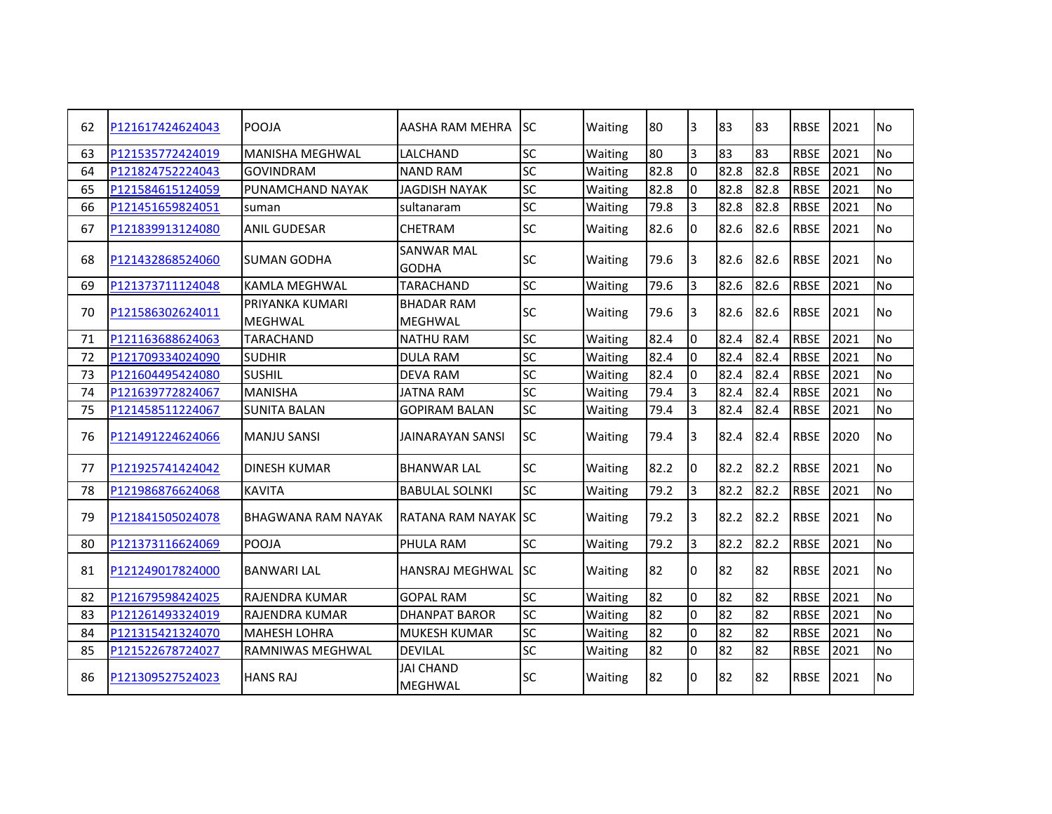| 62 | P121617424624043 | POOJA                             | AASHA RAM MEHRA                     | ISC.      | Waiting | 80   | 3              | 83   | 83   | <b>RBSE</b> | 2021 | No        |
|----|------------------|-----------------------------------|-------------------------------------|-----------|---------|------|----------------|------|------|-------------|------|-----------|
| 63 | P121535772424019 | <b>MANISHA MEGHWAL</b>            | <b>LALCHAND</b>                     | <b>SC</b> | Waiting | 80   | $\overline{3}$ | 83   | 83   | <b>RBSE</b> | 2021 | <b>No</b> |
| 64 | P121824752224043 | <b>GOVINDRAM</b>                  | <b>NAND RAM</b>                     | SC        | Waiting | 82.8 | I٥             | 82.8 | 82.8 | <b>RBSE</b> | 2021 | <b>No</b> |
| 65 | P121584615124059 | <b>PUNAMCHAND NAYAK</b>           | <b>JAGDISH NAYAK</b>                | <b>SC</b> | Waiting | 82.8 | $\overline{0}$ | 82.8 | 82.8 | <b>RBSE</b> | 2021 | <b>No</b> |
| 66 | P121451659824051 | suman                             | sultanaram                          | <b>SC</b> | Waiting | 79.8 | $\overline{3}$ | 82.8 | 82.8 | <b>RBSE</b> | 2021 | <b>No</b> |
| 67 | P121839913124080 | <b>ANIL GUDESAR</b>               | <b>CHETRAM</b>                      | <b>SC</b> | Waiting | 82.6 | I0             | 82.6 | 82.6 | <b>RBSE</b> | 2021 | No        |
| 68 | P121432868524060 | SUMAN GODHA                       | <b>SANWAR MAL</b><br><b>GODHA</b>   | <b>SC</b> | Waiting | 79.6 | 3              | 82.6 | 82.6 | <b>RBSE</b> | 2021 | No        |
| 69 | P121373711124048 | <b>KAMLA MEGHWAL</b>              | <b>TARACHAND</b>                    | <b>SC</b> | Waiting | 79.6 | 3              | 82.6 | 82.6 | <b>RBSE</b> | 2021 | No        |
| 70 | P121586302624011 | PRIYANKA KUMARI<br><b>MEGHWAL</b> | <b>BHADAR RAM</b><br><b>MEGHWAL</b> | <b>SC</b> | Waiting | 79.6 | I3             | 82.6 | 82.6 | <b>RBSE</b> | 2021 | <b>No</b> |
| 71 | P121163688624063 | <b>TARACHAND</b>                  | <b>NATHU RAM</b>                    | <b>SC</b> | Waiting | 82.4 | l0             | 82.4 | 82.4 | <b>RBSE</b> | 2021 | <b>No</b> |
| 72 | P121709334024090 | <b>SUDHIR</b>                     | <b>DULA RAM</b>                     | <b>SC</b> | Waiting | 82.4 | l0             | 82.4 | 82.4 | <b>RBSE</b> | 2021 | <b>No</b> |
| 73 | P121604495424080 | <b>SUSHIL</b>                     | <b>DEVA RAM</b>                     | <b>SC</b> | Waiting | 82.4 | I٥             | 82.4 | 82.4 | <b>RBSE</b> | 2021 | <b>No</b> |
| 74 | P121639772824067 | <b>MANISHA</b>                    | <b>JATNA RAM</b>                    | <b>SC</b> | Waiting | 79.4 | 3              | 82.4 | 82.4 | <b>RBSE</b> | 2021 | No        |
| 75 | P121458511224067 | <b>SUNITA BALAN</b>               | <b>GOPIRAM BALAN</b>                | <b>SC</b> | Waiting | 79.4 | 3              | 82.4 | 82.4 | <b>RBSE</b> | 2021 | <b>No</b> |
| 76 | P121491224624066 | <b>MANJU SANSI</b>                | <b>JAINARAYAN SANSI</b>             | <b>SC</b> | Waiting | 79.4 | l3             | 82.4 | 82.4 | <b>RBSE</b> | 2020 | <b>No</b> |
| 77 | P121925741424042 | <b>DINESH KUMAR</b>               | <b>BHANWAR LAL</b>                  | <b>SC</b> | Waiting | 82.2 | l0             | 82.2 | 82.2 | <b>RBSE</b> | 2021 | <b>No</b> |
| 78 | P121986876624068 | <b>KAVITA</b>                     | <b>BABULAL SOLNKI</b>               | <b>SC</b> | Waiting | 79.2 | Iз             | 82.2 | 82.2 | <b>RBSE</b> | 2021 | <b>No</b> |
| 79 | P121841505024078 | <b>BHAGWANA RAM NAYAK</b>         | <b>RATANA RAM NAYAK SC</b>          |           | Waiting | 79.2 | 3              | 82.2 | 82.2 | <b>RBSE</b> | 2021 | <b>No</b> |
| 80 | P121373116624069 | POOJA                             | PHULA RAM                           | <b>SC</b> | Waiting | 79.2 | 3              | 82.2 | 82.2 | <b>RBSE</b> | 2021 | No        |
| 81 | P121249017824000 | <b>BANWARI LAL</b>                | HANSRAJ MEGHWAL SC                  |           | Waiting | 82   | I٥             | 82   | 82   | <b>RBSE</b> | 2021 | No        |
| 82 | P121679598424025 | <b>RAJENDRA KUMAR</b>             | <b>GOPAL RAM</b>                    | <b>SC</b> | Waiting | 82   | l0             | 82   | 82   | <b>RBSE</b> | 2021 | No        |
| 83 | P121261493324019 | <b>RAJENDRA KUMAR</b>             | <b>DHANPAT BAROR</b>                | <b>SC</b> | Waiting | 82   | I٥             | 82   | 82   | <b>RBSE</b> | 2021 | <b>No</b> |
| 84 | P121315421324070 | <b>MAHESH LOHRA</b>               | <b>MUKESH KUMAR</b>                 | <b>SC</b> | Waiting | 82   | l0             | 82   | 82   | <b>RBSE</b> | 2021 | <b>No</b> |
| 85 | P121522678724027 | RAMNIWAS MEGHWAL                  | <b>DEVILAL</b>                      | <b>SC</b> | Waiting | 82   | l0             | 82   | 82   | <b>RBSE</b> | 2021 | No        |
| 86 | P121309527524023 | <b>HANS RAJ</b>                   | <b>JAI CHAND</b><br><b>MEGHWAL</b>  | <b>SC</b> | Waiting | 82   | I۵             | 82   | 82   | <b>RBSE</b> | 2021 | No        |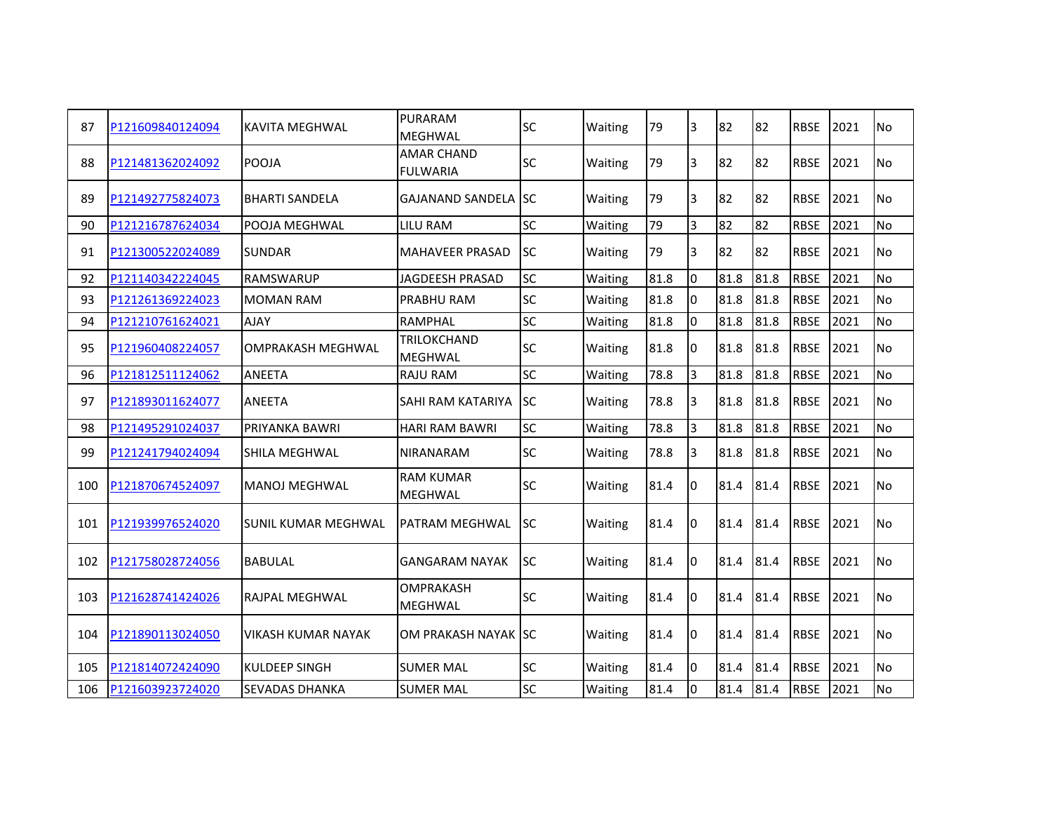| 87  | P121609840124094 | <b>KAVITA MEGHWAL</b>      | <b>PURARAM</b><br>MEGHWAL            | <b>SC</b>  | Waiting | 79   | 3  | 82   | 82   | <b>RBSE</b> | 2021 | <b>No</b> |
|-----|------------------|----------------------------|--------------------------------------|------------|---------|------|----|------|------|-------------|------|-----------|
| 88  | P121481362024092 | POOJA                      | <b>AMAR CHAND</b><br><b>FULWARIA</b> | <b>SC</b>  | Waiting | 79   | 3  | 82   | 82   | <b>RBSE</b> | 2021 | <b>No</b> |
| 89  | P121492775824073 | <b>BHARTI SANDELA</b>      | <b>GAJANAND SANDELA SC</b>           |            | Waiting | 79   | 3  | 82   | 82   | <b>RBSE</b> | 2021 | No        |
| 90  | P121216787624034 | POOJA MEGHWAL              | <b>LILU RAM</b>                      | <b>SC</b>  | Waiting | 79   | 3  | 82   | 82   | <b>RBSE</b> | 2021 | No        |
| 91  | P121300522024089 | <b>SUNDAR</b>              | <b>MAHAVEER PRASAD</b>               | lsc.       | Waiting | 79   | 3  | 82   | 82   | <b>RBSE</b> | 2021 | No        |
| 92  | P121140342224045 | <b>RAMSWARUP</b>           | <b>JAGDEESH PRASAD</b>               | <b>SC</b>  | Waiting | 81.8 | l0 | 81.8 | 81.8 | <b>RBSE</b> | 2021 | <b>No</b> |
| 93  | P121261369224023 | MOMAN RAM                  | PRABHU RAM                           | <b>SC</b>  | Waiting | 81.8 | 0  | 81.8 | 81.8 | <b>RBSE</b> | 2021 | <b>No</b> |
| 94  | P121210761624021 | <b>AJAY</b>                | <b>RAMPHAL</b>                       | <b>SC</b>  | Waiting | 81.8 | lo | 81.8 | 81.8 | <b>RBSE</b> | 2021 | No        |
| 95  | P121960408224057 | <b>OMPRAKASH MEGHWAL</b>   | TRILOKCHAND<br><b>MEGHWAL</b>        | <b>SC</b>  | Waiting | 81.8 | 0  | 81.8 | 81.8 | <b>RBSE</b> | 2021 | No        |
| 96  | P121812511124062 | ANEETA                     | <b>RAJU RAM</b>                      | <b>SC</b>  | Waiting | 78.8 | 3  | 81.8 | 81.8 | <b>RBSE</b> | 2021 | <b>No</b> |
| 97  | P121893011624077 | ANEETA                     | <b>SAHI RAM KATARIYA</b>             | <b>ISC</b> | Waiting | 78.8 | 3  | 81.8 | 81.8 | <b>RBSE</b> | 2021 | No        |
| 98  | P121495291024037 | PRIYANKA BAWRI             | <b>HARI RAM BAWRI</b>                | <b>SC</b>  | Waiting | 78.8 | 3  | 81.8 | 81.8 | <b>RBSE</b> | 2021 | <b>No</b> |
| 99  | P121241794024094 | SHILA MEGHWAL              | <b>NIRANARAM</b>                     | <b>SC</b>  | Waiting | 78.8 | 3  | 81.8 | 81.8 | <b>RBSE</b> | 2021 | No        |
| 100 | P121870674524097 | <b>MANOJ MEGHWAL</b>       | <b>RAM KUMAR</b><br><b>MEGHWAL</b>   | <b>SC</b>  | Waiting | 81.4 | I0 | 81.4 | 81.4 | <b>RBSE</b> | 2021 | No        |
| 101 | P121939976524020 | <b>SUNIL KUMAR MEGHWAL</b> | PATRAM MEGHWAL                       | lsc        | Waiting | 81.4 | 10 | 81.4 | 81.4 | <b>RBSE</b> | 2021 | No        |
| 102 | P121758028724056 | <b>BABULAL</b>             | <b>GANGARAM NAYAK</b>                | lsc        | Waiting | 81.4 | I٥ | 81.4 | 81.4 | <b>RBSE</b> | 2021 | No        |
| 103 | P121628741424026 | RAJPAL MEGHWAL             | <b>OMPRAKASH</b><br><b>MEGHWAL</b>   | <b>SC</b>  | Waiting | 81.4 | I0 | 81.4 | 81.4 | <b>RBSE</b> | 2021 | <b>No</b> |
| 104 | P121890113024050 | VIKASH KUMAR NAYAK         | OM PRAKASH NAYAK ISC                 |            | Waiting | 81.4 | 10 | 81.4 | 81.4 | <b>RBSE</b> | 2021 | No        |
| 105 | P121814072424090 | KULDEEP SINGH              | <b>SUMER MAL</b>                     | <b>SC</b>  | Waiting | 81.4 | I٥ | 81.4 | 81.4 | <b>RBSE</b> | 2021 | No        |
| 106 | P121603923724020 | <b>SEVADAS DHANKA</b>      | <b>SUMER MAL</b>                     | <b>SC</b>  | Waiting | 81.4 | l0 | 81.4 | 81.4 | <b>RBSE</b> | 2021 | No        |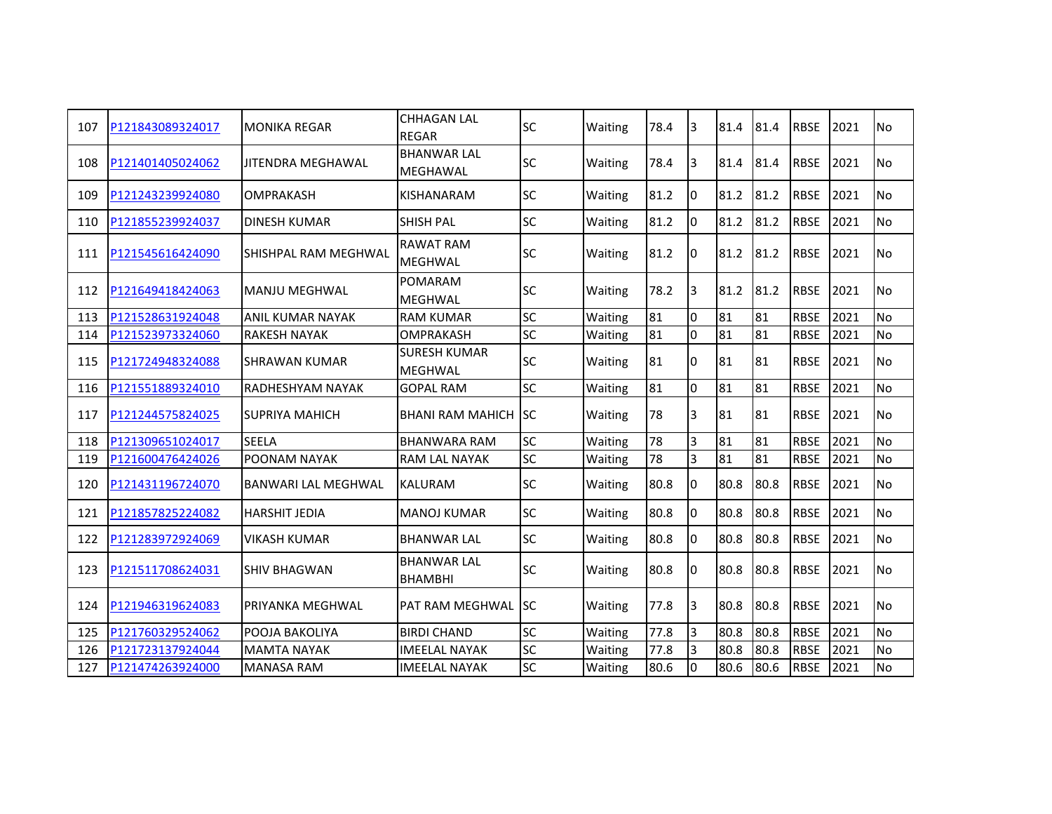| 107 | P121843089324017 | <b>MONIKA REGAR</b>        | <b>CHHAGAN LAL</b><br><b>REGAR</b>    | <b>SC</b> | Waiting | 78.4 | lЗ             | 81.4 | 81.4 | <b>RBSE</b> | 2021 | <b>No</b>      |
|-----|------------------|----------------------------|---------------------------------------|-----------|---------|------|----------------|------|------|-------------|------|----------------|
| 108 | P121401405024062 | <b>JITENDRA MEGHAWAL</b>   | <b>BHANWAR LAL</b><br>MEGHAWAL        | <b>SC</b> | Waiting | 78.4 | 3              | 81.4 | 81.4 | <b>RBSE</b> | 2021 | <b>No</b>      |
| 109 | P121243239924080 | OMPRAKASH                  | KISHANARAM                            | <b>SC</b> | Waiting | 81.2 | l0             | 81.2 | 81.2 | <b>RBSE</b> | 2021 | <b>No</b>      |
| 110 | P121855239924037 | <b>DINESH KUMAR</b>        | <b>SHISH PAL</b>                      | <b>SC</b> | Waiting | 81.2 | l0             | 81.2 | 81.2 | <b>RBSE</b> | 2021 | <b>No</b>      |
| 111 | P121545616424090 | SHISHPAL RAM MEGHWAL       | <b>RAWAT RAM</b><br><b>MEGHWAL</b>    | <b>SC</b> | Waiting | 81.2 | 0              | 81.2 | 81.2 | <b>RBSE</b> | 2021 | No             |
| 112 | P121649418424063 | <b>MANJU MEGHWAL</b>       | <b>POMARAM</b><br><b>MEGHWAL</b>      | <b>SC</b> | Waiting | 78.2 | 3              | 81.2 | 81.2 | <b>RBSE</b> | 2021 | N <sub>o</sub> |
| 113 | P121528631924048 | <b>ANIL KUMAR NAYAK</b>    | <b>RAM KUMAR</b>                      | <b>SC</b> | Waiting | 81   | $\Omega$       | 81   | 81   | <b>RBSE</b> | 2021 | No             |
| 114 | P121523973324060 | <b>RAKESH NAYAK</b>        | <b>OMPRAKASH</b>                      | <b>SC</b> | Waiting | 81   | I٥             | 81   | 81   | <b>RBSE</b> | 2021 | <b>No</b>      |
| 115 | P121724948324088 | <b>SHRAWAN KUMAR</b>       | <b>SURESH KUMAR</b><br><b>MEGHWAL</b> | <b>SC</b> | Waiting | 81   | 0              | 81   | 81   | <b>RBSE</b> | 2021 | <b>No</b>      |
| 116 | P121551889324010 | <b>RADHESHYAM NAYAK</b>    | <b>GOPAL RAM</b>                      | <b>SC</b> | Waiting | 81   | l0             | 81   | 81   | <b>RBSE</b> | 2021 | <b>No</b>      |
| 117 | P121244575824025 | <b>SUPRIYA MAHICH</b>      | <b>BHANI RAM MAHICH ISC</b>           |           | Waiting | 78   | 3              | 81   | 81   | <b>RBSE</b> | 2021 | No             |
| 118 | P121309651024017 | <b>SEELA</b>               | <b>BHANWARA RAM</b>                   | <b>SC</b> | Waiting | 78   | 3              | 81   | 81   | <b>RBSE</b> | 2021 | No             |
| 119 | P121600476424026 | POONAM NAYAK               | <b>RAM LAL NAYAK</b>                  | <b>SC</b> | Waiting | 78   | 3              | 81   | 81   | <b>RBSE</b> | 2021 | No             |
| 120 | P121431196724070 | <b>BANWARI LAL MEGHWAL</b> | <b>KALURAM</b>                        | <b>SC</b> | Waiting | 80.8 | 0              | 80.8 | 80.8 | <b>RBSE</b> | 2021 | <b>No</b>      |
| 121 | P121857825224082 | <b>HARSHIT JEDIA</b>       | <b>MANOJ KUMAR</b>                    | <b>SC</b> | Waiting | 80.8 | $\Omega$       | 80.8 | 80.8 | <b>RBSE</b> | 2021 | <b>No</b>      |
| 122 | P121283972924069 | <b>VIKASH KUMAR</b>        | <b>BHANWAR LAL</b>                    | <b>SC</b> | Waiting | 80.8 | I0             | 80.8 | 80.8 | <b>RBSE</b> | 2021 | No             |
| 123 | P121511708624031 | <b>SHIV BHAGWAN</b>        | <b>BHANWAR LAL</b><br><b>BHAMBHI</b>  | <b>SC</b> | Waiting | 80.8 | I0             | 80.8 | 80.8 | <b>RBSE</b> | 2021 | No             |
| 124 | P121946319624083 | PRIYANKA MEGHWAL           | PAT RAM MEGHWAL ISC                   |           | Waiting | 77.8 | 3              | 80.8 | 80.8 | <b>RBSE</b> | 2021 | <b>No</b>      |
| 125 | P121760329524062 | POOJA BAKOLIYA             | <b>BIRDI CHAND</b>                    | <b>SC</b> | Waiting | 77.8 | $\overline{3}$ | 80.8 | 80.8 | <b>RBSE</b> | 2021 | <b>No</b>      |
| 126 | P121723137924044 | <b>MAMTA NAYAK</b>         | <b>IMEELAL NAYAK</b>                  | SC        | Waiting | 77.8 | 3              | 80.8 | 80.8 | <b>RBSE</b> | 2021 | No             |
| 127 | P121474263924000 | <b>MANASA RAM</b>          | <b>IMEELAL NAYAK</b>                  | <b>SC</b> | Waiting | 80.6 | l0             | 80.6 | 80.6 | <b>RBSE</b> | 2021 | No             |